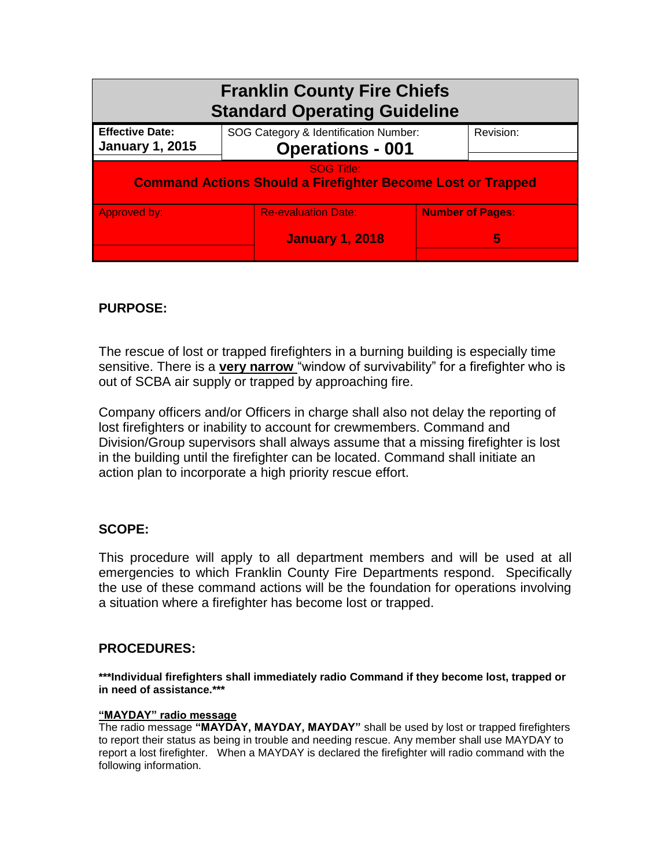| <b>Franklin County Fire Chiefs</b><br><b>Standard Operating Guideline</b>               |                                                                  |  |                         |
|-----------------------------------------------------------------------------------------|------------------------------------------------------------------|--|-------------------------|
| <b>Effective Date:</b><br><b>January 1, 2015</b>                                        | SOG Category & Identification Number:<br><b>Operations - 001</b> |  | Revision:               |
| <b>SOG Title:</b><br><b>Command Actions Should a Firefighter Become Lost or Trapped</b> |                                                                  |  |                         |
| Approved by:                                                                            | <b>Re-evaluation Date:</b>                                       |  | <b>Number of Pages:</b> |
|                                                                                         | <b>January 1, 2018</b>                                           |  | 5                       |

# **PURPOSE:**

The rescue of lost or trapped firefighters in a burning building is especially time sensitive. There is a **very narrow** "window of survivability" for a firefighter who is out of SCBA air supply or trapped by approaching fire.

Company officers and/or Officers in charge shall also not delay the reporting of lost firefighters or inability to account for crewmembers. Command and Division/Group supervisors shall always assume that a missing firefighter is lost in the building until the firefighter can be located. Command shall initiate an action plan to incorporate a high priority rescue effort.

# **SCOPE:**

This procedure will apply to all department members and will be used at all emergencies to which Franklin County Fire Departments respond. Specifically the use of these command actions will be the foundation for operations involving a situation where a firefighter has become lost or trapped.

# **PROCEDURES:**

**\*\*\*Individual firefighters shall immediately radio Command if they become lost, trapped or in need of assistance.\*\*\***

## **"MAYDAY" radio message**

The radio message **"MAYDAY, MAYDAY, MAYDAY"** shall be used by lost or trapped firefighters to report their status as being in trouble and needing rescue. Any member shall use MAYDAY to report a lost firefighter. When a MAYDAY is declared the firefighter will radio command with the following information.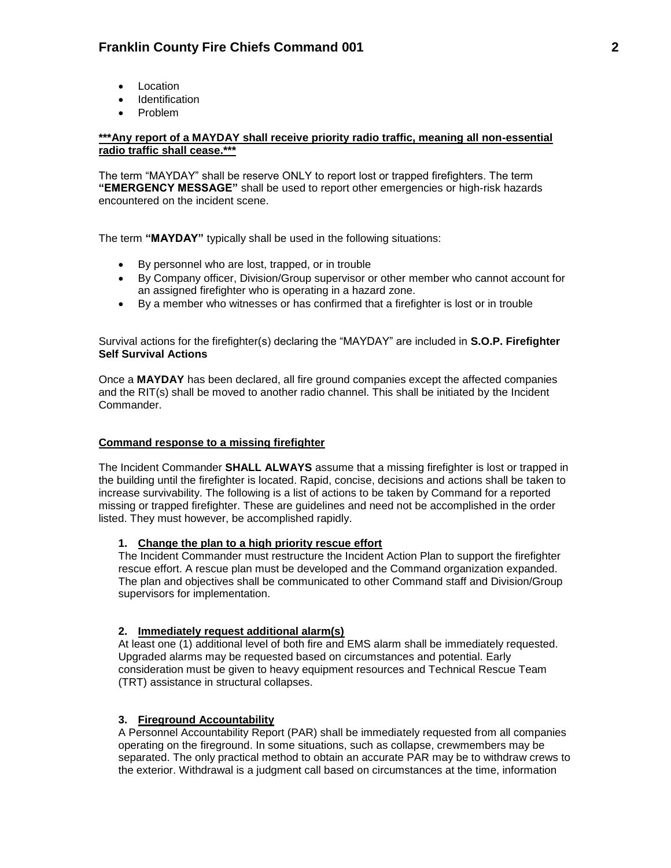- Location
- **•** Identification
- Problem

## **\*\*\*Any report of a MAYDAY shall receive priority radio traffic, meaning all non-essential radio traffic shall cease.\*\*\***

The term "MAYDAY" shall be reserve ONLY to report lost or trapped firefighters. The term **"EMERGENCY MESSAGE"** shall be used to report other emergencies or high-risk hazards encountered on the incident scene.

The term **"MAYDAY"** typically shall be used in the following situations:

- By personnel who are lost, trapped, or in trouble
- By Company officer, Division/Group supervisor or other member who cannot account for an assigned firefighter who is operating in a hazard zone.
- By a member who witnesses or has confirmed that a firefighter is lost or in trouble

Survival actions for the firefighter(s) declaring the "MAYDAY" are included in **S.O.P. Firefighter Self Survival Actions**

Once a **MAYDAY** has been declared, all fire ground companies except the affected companies and the RIT(s) shall be moved to another radio channel. This shall be initiated by the Incident Commander.

## **Command response to a missing firefighter**

The Incident Commander **SHALL ALWAYS** assume that a missing firefighter is lost or trapped in the building until the firefighter is located. Rapid, concise, decisions and actions shall be taken to increase survivability. The following is a list of actions to be taken by Command for a reported missing or trapped firefighter. These are guidelines and need not be accomplished in the order listed. They must however, be accomplished rapidly.

### **1. Change the plan to a high priority rescue effort**

The Incident Commander must restructure the Incident Action Plan to support the firefighter rescue effort. A rescue plan must be developed and the Command organization expanded. The plan and objectives shall be communicated to other Command staff and Division/Group supervisors for implementation.

### **2. Immediately request additional alarm(s)**

At least one (1) additional level of both fire and EMS alarm shall be immediately requested. Upgraded alarms may be requested based on circumstances and potential. Early consideration must be given to heavy equipment resources and Technical Rescue Team (TRT) assistance in structural collapses.

## **3. Fireground Accountability**

A Personnel Accountability Report (PAR) shall be immediately requested from all companies operating on the fireground. In some situations, such as collapse, crewmembers may be separated. The only practical method to obtain an accurate PAR may be to withdraw crews to the exterior. Withdrawal is a judgment call based on circumstances at the time, information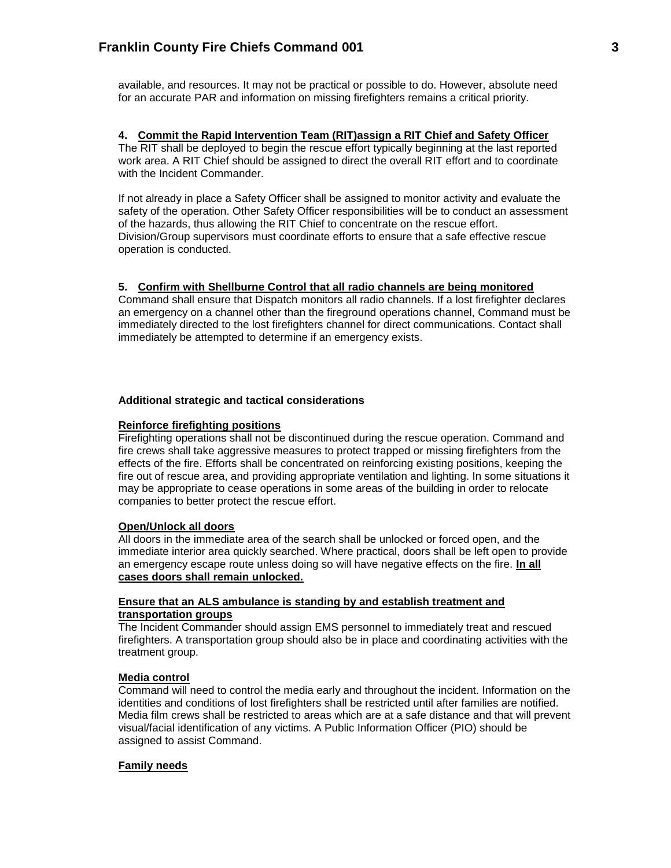available, and resources. It may not be practical or possible to do. However, absolute need for an accurate PAR and information on missing firefighters remains a critical priority.

## **4. Commit the Rapid Intervention Team (RIT)assign a RIT Chief and Safety Officer**

The RIT shall be deployed to begin the rescue effort typically beginning at the last reported work area. A RIT Chief should be assigned to direct the overall RIT effort and to coordinate with the Incident Commander.

If not already in place a Safety Officer shall be assigned to monitor activity and evaluate the safety of the operation. Other Safety Officer responsibilities will be to conduct an assessment of the hazards, thus allowing the RIT Chief to concentrate on the rescue effort. Division/Group supervisors must coordinate efforts to ensure that a safe effective rescue operation is conducted.

## **5. Confirm with Shellburne Control that all radio channels are being monitored**

Command shall ensure that Dispatch monitors all radio channels. If a lost firefighter declares an emergency on a channel other than the fireground operations channel, Command must be immediately directed to the lost firefighters channel for direct communications. Contact shall immediately be attempted to determine if an emergency exists.

### **Additional strategic and tactical considerations**

### **Reinforce firefighting positions**

Firefighting operations shall not be discontinued during the rescue operation. Command and fire crews shall take aggressive measures to protect trapped or missing firefighters from the effects of the fire. Efforts shall be concentrated on reinforcing existing positions, keeping the fire out of rescue area, and providing appropriate ventilation and lighting. In some situations it may be appropriate to cease operations in some areas of the building in order to relocate companies to better protect the rescue effort.

## **Open/Unlock all doors**

All doors in the immediate area of the search shall be unlocked or forced open, and the immediate interior area quickly searched. Where practical, doors shall be left open to provide an emergency escape route unless doing so will have negative effects on the fire. **In all cases doors shall remain unlocked.**

#### **Ensure that an ALS ambulance is standing by and establish treatment and transportation groups**

The Incident Commander should assign EMS personnel to immediately treat and rescued firefighters. A transportation group should also be in place and coordinating activities with the treatment group.

## **Media control**

Command will need to control the media early and throughout the incident. Information on the identities and conditions of lost firefighters shall be restricted until after families are notified. Media film crews shall be restricted to areas which are at a safe distance and that will prevent visual/facial identification of any victims. A Public Information Officer (PIO) should be assigned to assist Command.

### **Family needs**